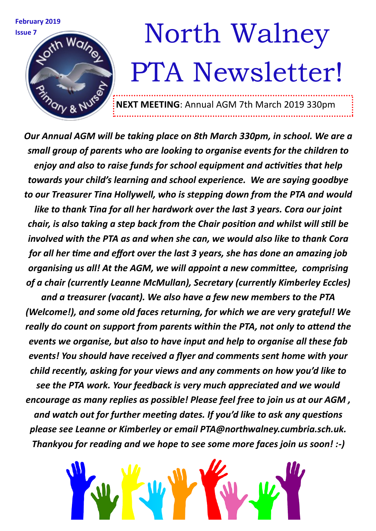

*Our Annual AGM will be taking place on 8th March 330pm, in school. We are a small group of parents who are looking to organise events for the children to enjoy and also to raise funds for school equipment and activities that help towards your child's learning and school experience. We are saying goodbye to our Treasurer Tina Hollywell, who is stepping down from the PTA and would like to thank Tina for all her hardwork over the last 3 years. Cora our joint chair, is also taking a step back from the Chair position and whilst will still be involved with the PTA as and when she can, we would also like to thank Cora for all her time and effort over the last 3 years, she has done an amazing job organising us all! At the AGM, we will appoint a new committee, comprising of a chair (currently Leanne McMullan), Secretary (currently Kimberley Eccles)* 

*and a treasurer (vacant). We also have a few new members to the PTA (Welcome!), and some old faces returning, for which we are very grateful! We really do count on support from parents within the PTA, not only to attend the events we organise, but also to have input and help to organise all these fab events! You should have received a flyer and comments sent home with your child recently, asking for your views and any comments on how you'd like to see the PTA work. Your feedback is very much appreciated and we would encourage as many replies as possible! Please feel free to join us at our AGM , and watch out for further meeting dates. If you'd like to ask any questions please see Leanne or Kimberley or email PTA@northwalney.cumbria.sch.uk. Thankyou for reading and we hope to see some more faces join us soon! :-)*